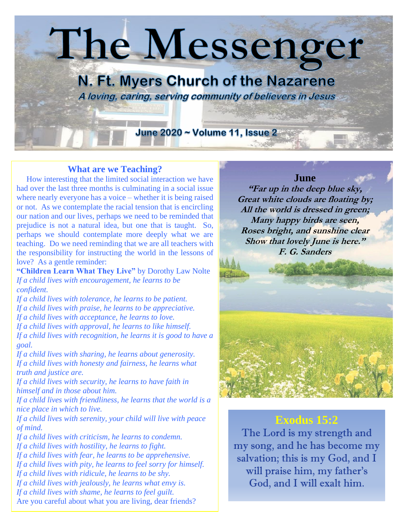

## **What are we Teaching?**

 How interesting that the limited social interaction we have had over the last three months is culminating in a social issue where nearly everyone has a voice – whether it is being raised or not. As we contemplate the racial tension that is encircling our nation and our lives, perhaps we need to be reminded that prejudice is not a natural idea, but one that is taught. So, perhaps we should contemplate more deeply what we are teaching. Do we need reminding that we are all teachers with the responsibility for instructing the world in the lessons of love? As a gentle reminder:

**"Children Learn What They Live"** by Dorothy Law Nolte *If a child lives with encouragement, he learns to be confident.*

*If a child lives with tolerance, he learns to be patient. If a child lives with praise, he learns to be appreciative. If a child lives with acceptance, he learns to love. If a child lives with approval, he learns to like himself. If a child lives with recognition, he learns it is good to have a goal.*

*If a child lives with sharing, he learns about generosity. If a child lives with honesty and fairness, he learns what truth and justice are.*

*If a child lives with security, he learns to have faith in himself and in those about him.*

*If a child lives with friendliness, he learns that the world is a nice place in which to live.*

*If a child lives with serenity, your child will live with peace of mind.*

*If a child lives with criticism, he learns to condemn. If a child lives with hostility, he learns to fight. If a child lives with fear, he learns to be apprehensive. If a child lives with pity, he learns to feel sorry for himself. If a child lives with ridicule, he learns to be shy. If a child lives with jealously, he learns what envy is. If a child lives with shame, he learns to feel guilt.* Are you careful about what you are living, dear friends?

# **June**

**"Far up in the deep blue sky, Great white clouds are floating by; All the world is dressed in green; Many happy birds are seen, Roses bright, and sunshine clear Show that lovely June is here." F. G. Sanders**



# **[Exodus 15:2](https://www.biblestudytools.com/exodus/15-2.html)**

The Lord is my strength and my song, and he has become my salvation; this is my God, and I will praise him, my father's God, and I will exalt him.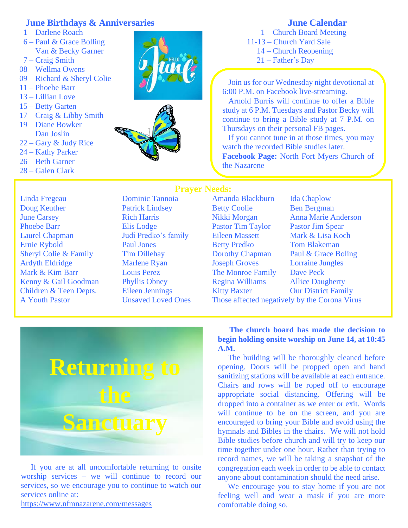## **June Birthdays & Anniversaries**

- 1 Darlene Roach
- 6 Paul & Grace Bolling Van & Becky Garner
- 7 Craig Smith
- 08 Wellma Owens
- 09 Richard & Sheryl Colie
- 11 Phoebe Barr
- 13 Lillian Love
- 15 Betty Garten
- 17 Craig & Libby Smith
- 19 Diane Bowker Dan Joslin
- 22 Gary & Judy Rice
- 24 Kathy Parker
- 26 Beth Garner
- 28 Galen Clark





# **June Calendar** 1 – Church Board Meeting

11-13 – Church Yard Sale 14 – Church Reopening 21 – Father's Day

 Join us for our Wednesday night devotional at 6:00 P.M. on Facebook live-streaming.

 Arnold Burris will continue to offer a Bible study at 6 P.M. Tuesdays and Pastor Becky will continue to bring a Bible study at 7 P.M. on Thursdays on their personal FB pages.

 If you cannot tune in at those times, you may watch the recorded Bible studies later. **Facebook Page:** North Fort Myers Church of the Nazarene

Doug Keuther Patrick Lindsey Betty Coolie Ben Bergman June Carsey **Rich Harris** Nikki Morgan Anna Marie Anderson Phoebe Barr Elis Lodge Pastor Tim Taylor Pastor Jim Spear Laurel Chapman Judi Predko's family Eileen Massett Mark & Lisa Koch Ernie Rybold Paul Jones Betty Predko Tom Blakeman Sheryl Colie & Family Tim Dillehay Dorothy Chapman Paul & Grace Boling Ardyth Eldridge Marlene Ryan Joseph Groves Lorraine Jungles Mark & Kim Barr Louis Perez The Monroe Family Dave Peck Kenny & Gail Goodman Phyllis Obney Regina Williams Allice Daugherty Children & Teen Depts. Eileen Jennings Kitty Baxter Our District Family

### **Prayer Needs:**

Linda Fregeau Dominic Tannoia Amanda Blackburn Ida Chaplow

A Youth Pastor Unsaved Loved Ones Those affected negatively by the Corona Virus



 If you are at all uncomfortable returning to onsite worship services – we will continue to record our services, so we encourage you to continue to watch our services online at:

<https://www.nfmnazarene.com/messages>

 **The church board has made the decision to begin holding onsite worship on June 14, at 10:45 A.M.**

 The building will be thoroughly cleaned before opening. Doors will be propped open and hand sanitizing stations will be available at each entrance. Chairs and rows will be roped off to encourage appropriate social distancing. Offering will be dropped into a container as we enter or exit. Words will continue to be on the screen, and you are encouraged to bring your Bible and avoid using the hymnals and Bibles in the chairs. We will not hold Bible studies before church and will try to keep our time together under one hour. Rather than trying to record names, we will be taking a snapshot of the congregation each week in order to be able to contact anyone about contamination should the need arise.

 We encourage you to stay home if you are not feeling well and wear a mask if you are more comfortable doing so.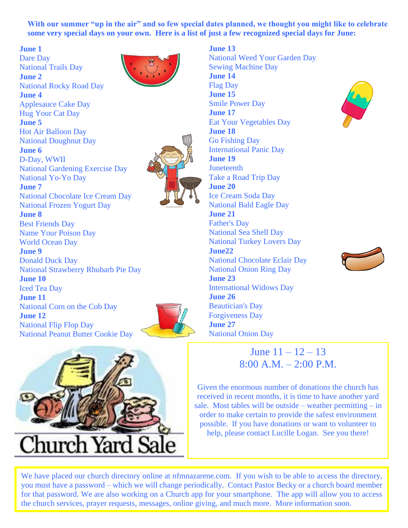With our summer "up in the air" and so few special dates planned, we thought you might like to celebrate **some very special days on your own. Here is a list of just a few recognized special days for June:**

**June 13**

### **June 1**

[Dare Day](http://www.holidayinsights.com/moreholidays/June/dareday.htm) [National Trails Day](http://www.holidayinsights.com/moreholidays/June/national-trails-day.htm) **June 2** [National Rocky Road Day](http://www.holidayinsights.com/moreholidays/June/rockyroadday.htm) **June 4** [Applesauce Cake Day](http://www.holidayinsights.com/moreholidays/June/applecakeday.htm) [Hug Your Cat](http://www.holidayinsights.com/moreholidays/June/hugyourcatday.htm) Day **June 5** [Hot Air Balloon Day](http://www.holidayinsights.com/moreholidays/June/hot-air-balloon-day.htm) [National Doughnut Day](http://www.holidayinsights.com/moreholidays/June/doughnutday.htm) **June 6** [D-Day, WWII](http://www.holidayinsights.com/moreholidays/June/wwii-d-day.htm) [National Gardening Exercise Day](http://www.holidayinsights.com/other/gardeningexercise.htm) [National Yo-Yo Day](http://www.holidayinsights.com/other/yoyoday.htm) **June 7** [National Chocolate Ice Cream Day](http://www.holidayinsights.com/moreholidays/June/chocolateicecream.htm) [National Frozen Yogurt Day](http://www.holidayinsights.com/moreholidays/February/frozen-yogurt-day.htm) **June 8** [Best Friends Day](http://www.holidayinsights.com/moreholidays/June/bestfriendday.htm) [Name Your Poison Day](http://www.holidayinsights.com/moreholidays/June/nameyourpoison.htm) [World Ocean Day](http://www.holidayinsights.com/moreholidays/June/world-ocean-day.htm) **June 9** [Donald Duck Day](http://www.holidayinsights.com/moreholidays/June/donaldduckday.htm) [National Strawberry Rhubarb Pie Day](http://www.holidayinsights.com/moreholidays/June/national-strawberry-rhubarb-pie-day.htm) **June 10** [Iced Tea Day](http://www.holidayinsights.com/moreholidays/June/icedteaday.htm) **June 11** [National Corn on the Cob Day](http://www.holidayinsights.com/moreholidays/June/national-corn-cob-day.htm) **June 12** [National Flip Flop Day](http://www.holidayinsights.com/moreholidays/June/national-flip-flop-day.htm) [National Peanut Butter Cookie Day](http://www.holidayinsights.com/moreholidays/June/peanut-butter-cookie-day.htm)





**June 20 June 21 June22 June 23 June 26**



[National Weed Your Garden Day](http://www.holidayinsights.com/moreholidays/June/weed-your-garden-day.htm) [Sewing Machine Day](http://www.holidayinsights.com/moreholidays/June/sewingmachineday.htm) **June 14** [Flag Day](http://www.holidayinsights.com/other/flagday.htm) **June 15** [Smile Power Day](http://www.holidayinsights.com/moreholidays/June/smilepowerday.htm) **June 17** [Eat Your Vegetables Day](http://www.holidayinsights.com/other/eatyourvegetablesday.htm) **June 18** [Go Fishing Day](http://www.holidayinsights.com/moreholidays/June/gofishingday.htm) [International Panic Day](http://www.holidayinsights.com/moreholidays/June/intlpanicday.htm) **June 19 [Juneteenth](http://www.holidayinsights.com/other/juneteenth.htm)** [Take a Road Trip Day](http://www.holidayinsights.com/moreholidays/June/take-road-trip-day.htm) [Ice Cream Soda Day](http://www.holidayinsights.com/moreholidays/June/icecreamsodaday.htm) [National Bald Eagle Day](http://www.holidayinsights.com/moreholidays/June/american-bald-eagle-day.htm) [Father's Day](http://www.holidayinsights.com/other/father.htm) [National Sea Shell Day](http://www.holidayinsights.com/moreholidays/June/national-sea-shell-day.htm) [National Turkey Lovers Day](http://www.holidayinsights.com/moreholidays/June/national-turkey-lovers-day.htm) [National Chocolate Eclair Day](http://www.holidayinsights.com/moreholidays/June/chocolateeclair.htm) [National Onion Ring Day](http://www.holidayinsights.com/moreholidays/June/national-onion-ring-day.htm) [International Widows Day](http://www.holidayinsights.com/moreholidays/June/international-widows-day.htm) [Beautician's Day](http://www.holidayinsights.com/moreholidays/June/beauticianday.htm) [Forgiveness Day](http://www.holidayinsights.com/moreholidays/June/forgivenessday.htm) **June 27** [National Onion Day](http://www.holidayinsights.com/moreholidays/June/national-onion-day.htm)





June  $11 - 12 - 13$  $8:00 A M = 2:00 P M$ 

Given the enormous number of donations the church has received in recent months, it is time to have another yard sale. Most tables will be outside – weather permitting – in order to make certain to provide the safest environment possible. If you have donations or want to volunteer to help, please contact Lucille Logan. See you there!

We have placed our church directory online at nfmnazarene.com. If you wish to be able to access the directory, you must have a password – which we will change periodically. Contact Pastor Becky or a church board member for that password. We are also working on a Church app for your smartphone. The app will allow you to access the church services, prayer requests, messages, online giving, and much more. More information soon.